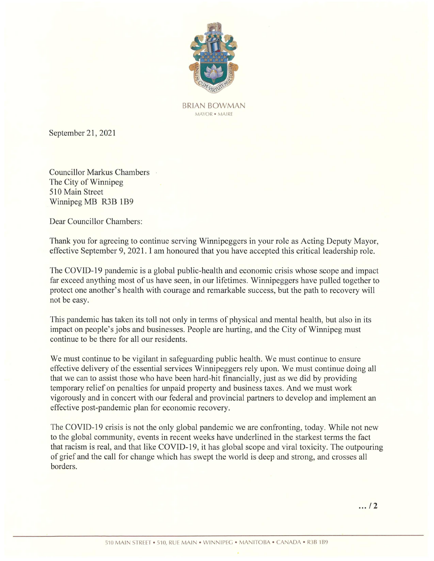

BRIAN BOWMAN MAYOR ¢ MAIRE

September 21, 2021

Councillor Markus Chambers. The City of Winnipeg 510 Main Street Winnipeg MB R3B 1B9

Dear Councillor Chambers:

Thank you for agreeing to continue serving Winnipeggers in your role as Acting Deputy Mayor, effective September 9, 2021. <sup>I</sup> am honoured that you have accepted this critical leadership role.

The COVID-19 pandemic is a global public-health and economic crisis whose scope and impact far exceed anything most of us have seen, in our lifetimes. Winnipeggers have pulled together to protect one another's health with courage and remarkable success, but the path to recovery will not be easy.

This pandemic has taken its toll not only in terms of physical and mental health, but also in its impact on people's jobs and businesses. People are hurting, and the City of Winnipeg must continue to be there for all our residents.

We must continue to be vigilant in safeguarding public health. We must continue to ensure effective delivery of the essential services Winnipeggers rely upon. We must continue doingall that we can to assist those who have been hard-hit financially, just as we did by providing temporary relief on penalties for unpaid property and business taxes. And we must work vigorously and in concert with our federal and provincial partners to develop and implement an effective post-pandemic plan for economic recovery. Spytember 21, 2021<br>
Spytember 21, 2021<br>
BRAN ECONNA ECONNA V<br>
BRAN ECONNA V<br>
BRAN ECONNA V<br>
Spytember 21, 2021<br>
Connection where Chambers<br>
The Case of Winning Spytember 21, 2021<br>
Connection where the 1189<br>
Dear Connection

AIN • WINNIPEG •<br>AIN • WINNIPEG • The COVID-19 crisis is not the only global pandemic we are confronting, today. While not new to the global community, events in recent weeks have underlined in the starkest terms the fact that racism is real, and that like COVID-19, it has global scope and viral toxicity. The outpouring of grief and the call for change which has swept the world is deep and strong, and crosses all borders.